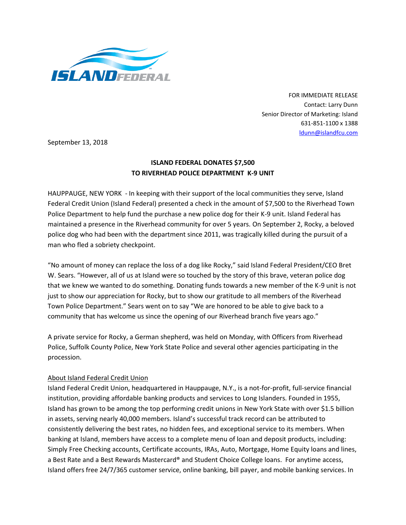

FOR IMMEDIATE RELEASE Contact: Larry Dunn Senior Director of Marketing: Island 631-851-1100 x 1388 [ldunn@islandfcu.com](mailto:ldunn@islandfcu.com)

September 13, 2018

## **ISLAND FEDERAL DONATES \$7,500 TO RIVERHEAD POLICE DEPARTMENT K-9 UNIT**

HAUPPAUGE, NEW YORK - In keeping with their support of the local communities they serve, Island Federal Credit Union (Island Federal) presented a check in the amount of \$7,500 to the Riverhead Town Police Department to help fund the purchase a new police dog for their K-9 unit. Island Federal has maintained a presence in the Riverhead community for over 5 years. On September 2, Rocky, a beloved police dog who had been with the department since 2011, was tragically killed during the pursuit of a man who fled a sobriety checkpoint.

"No amount of money can replace the loss of a dog like Rocky," said Island Federal President/CEO Bret W. Sears. "However, all of us at Island were so touched by the story of this brave, veteran police dog that we knew we wanted to do something. Donating funds towards a new member of the K-9 unit is not just to show our appreciation for Rocky, but to show our gratitude to all members of the Riverhead Town Police Department." Sears went on to say "We are honored to be able to give back to a community that has welcome us since the opening of our Riverhead branch five years ago."

A private service for Rocky, a German shepherd, was held on Monday, with Officers from Riverhead Police, Suffolk County Police, New York State Police and several other agencies participating in the procession.

## About Island Federal Credit Union

Island Federal Credit Union, headquartered in Hauppauge, N.Y., is a not-for-profit, full-service financial institution, providing affordable banking products and services to Long Islanders. Founded in 1955, Island has grown to be among the top performing credit unions in New York State with over \$1.5 billion in assets, serving nearly 40,000 members. Island's successful track record can be attributed to consistently delivering the best rates, no hidden fees, and exceptional service to its members. When banking at Island, members have access to a complete menu of loan and deposit products, including: Simply Free Checking accounts, Certificate accounts, IRAs, Auto, Mortgage, Home Equity loans and lines, a Best Rate and a Best Rewards Mastercard® and Student Choice College loans. For anytime access, Island offers free 24/7/365 customer service, online banking, bill payer, and mobile banking services. In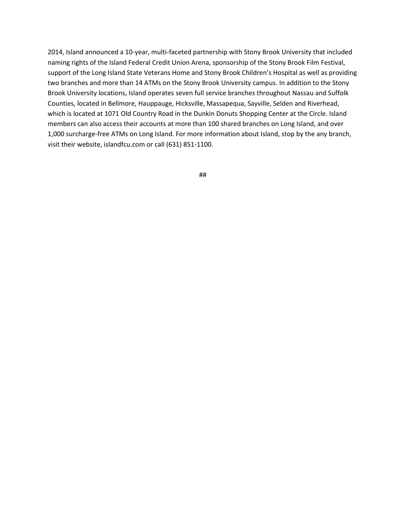2014, Island announced a 10-year, multi-faceted partnership with Stony Brook University that included naming rights of the Island Federal Credit Union Arena, sponsorship of the Stony Brook Film Festival, support of the Long Island State Veterans Home and Stony Brook Children's Hospital as well as providing two branches and more than 14 ATMs on the Stony Brook University campus. In addition to the Stony Brook University locations, Island operates seven full service branches throughout Nassau and Suffolk Counties, located in Bellmore, Hauppauge, Hicksville, Massapequa, Sayville, Selden and Riverhead, which is located at 1071 Old Country Road in the Dunkin Donuts Shopping Center at the Circle. Island members can also access their accounts at more than 100 shared branches on Long Island, and over 1,000 surcharge-free ATMs on Long Island. For more information about Island, stop by the any branch, visit their website, islandfcu.com or call (631) 851-1100.

##